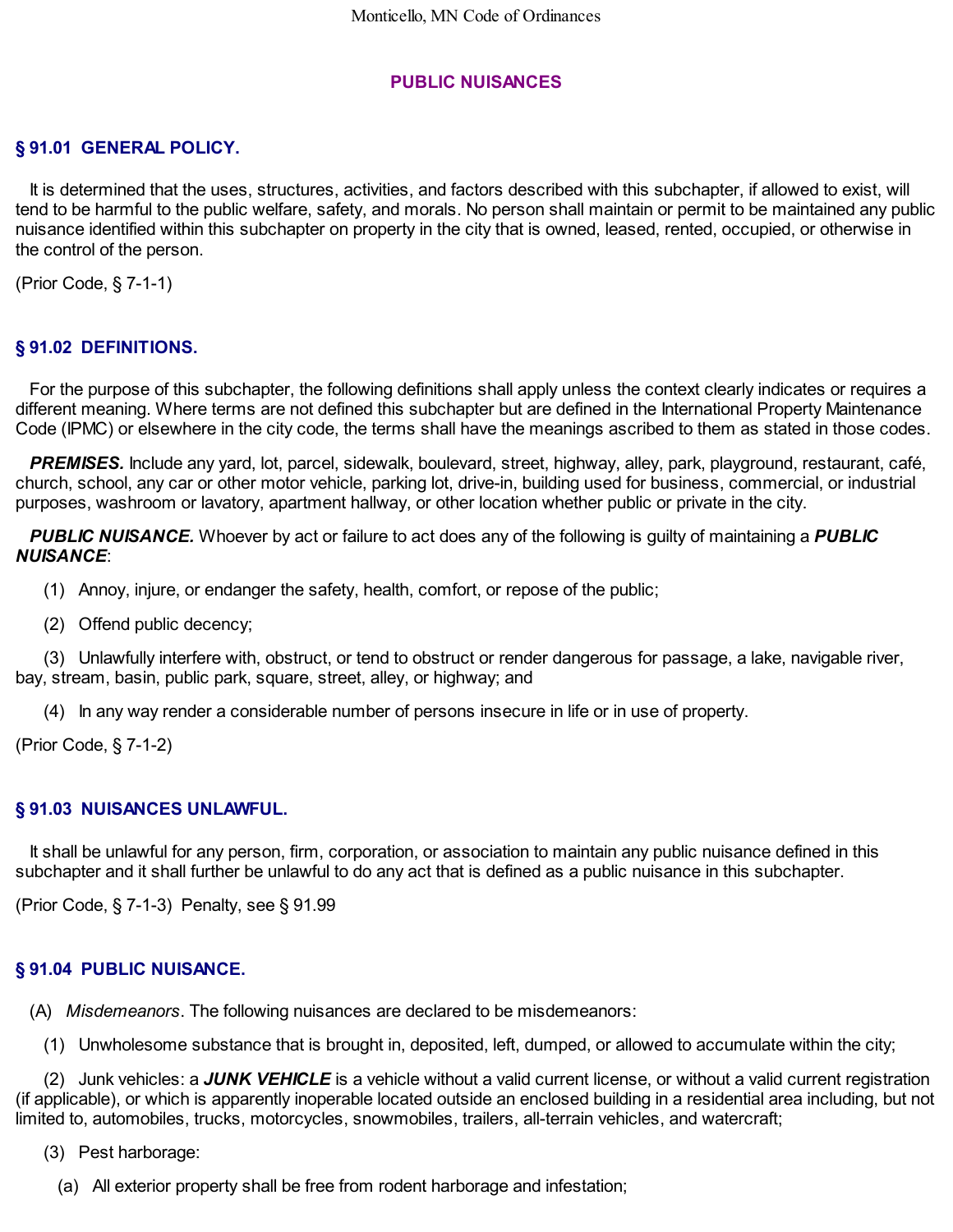## **PUBLIC NUISANCES**

## **§ 91.01 GENERAL POLICY.**

It is determined that the uses, structures, activities, and factors described with this subchapter, if allowed to exist, will tend to be harmful to the public welfare, safety, and morals. No person shall maintain or permit to be maintained any public nuisance identified within this subchapter on property in the city that is owned, leased, rented, occupied, or otherwise in the control of the person.

(Prior Code, § 7-1-1)

# **§ 91.02 DEFINITIONS.**

For the purpose of this subchapter, the following definitions shall apply unless the context clearly indicates or requires a different meaning. Where terms are not defined this subchapter but are defined in the International Property Maintenance Code (IPMC) or elsewhere in the city code, the terms shall have the meanings ascribed to them as stated in those codes.

*PREMISES.* Include any yard, lot, parcel, sidewalk, boulevard, street, highway, alley, park, playground, restaurant, café, church, school, any car or other motor vehicle, parking lot, drive-in, building used for business, commercial, or industrial purposes, washroom or lavatory, apartment hallway, or other location whether public or private in the city.

*PUBLIC NUISANCE.* Whoever by act or failure to act does any of the following is guilty of maintaining a *PUBLIC NUISANCE*:

(1) Annoy, injure, or endanger the safety, health, comfort, or repose of the public;

(2) Offend public decency;

(3) Unlawfully interfere with, obstruct, or tend to obstruct or render dangerous for passage, a lake, navigable river, bay, stream, basin, public park, square, street, alley, or highway; and

(4) In any way render a considerable number of persons insecure in life or in use of property.

(Prior Code, § 7-1-2)

## **§ 91.03 NUISANCES UNLAWFUL.**

It shall be unlawful for any person, firm, corporation, or association to maintain any public nuisance defined in this subchapter and it shall further be unlawful to do any act that is defined as a public nuisance in this subchapter.

(Prior Code, § 7-1-3) Penalty, see § 91.99

## **§ 91.04 PUBLIC NUISANCE.**

(A) *Misdemeanors*. The following nuisances are declared to be misdemeanors:

(1) Unwholesome substance that is brought in, deposited, left, dumped, or allowed to accumulate within the city;

(2) Junk vehicles: a *JUNK VEHICLE* is a vehicle without a valid current license, or without a valid current registration (if applicable), or which is apparently inoperable located outside an enclosed building in a residential area including, but not limited to, automobiles, trucks, motorcycles, snowmobiles, trailers, all-terrain vehicles, and watercraft;

(3) Pest harborage:

(a) All exterior property shall be free from rodent harborage and infestation;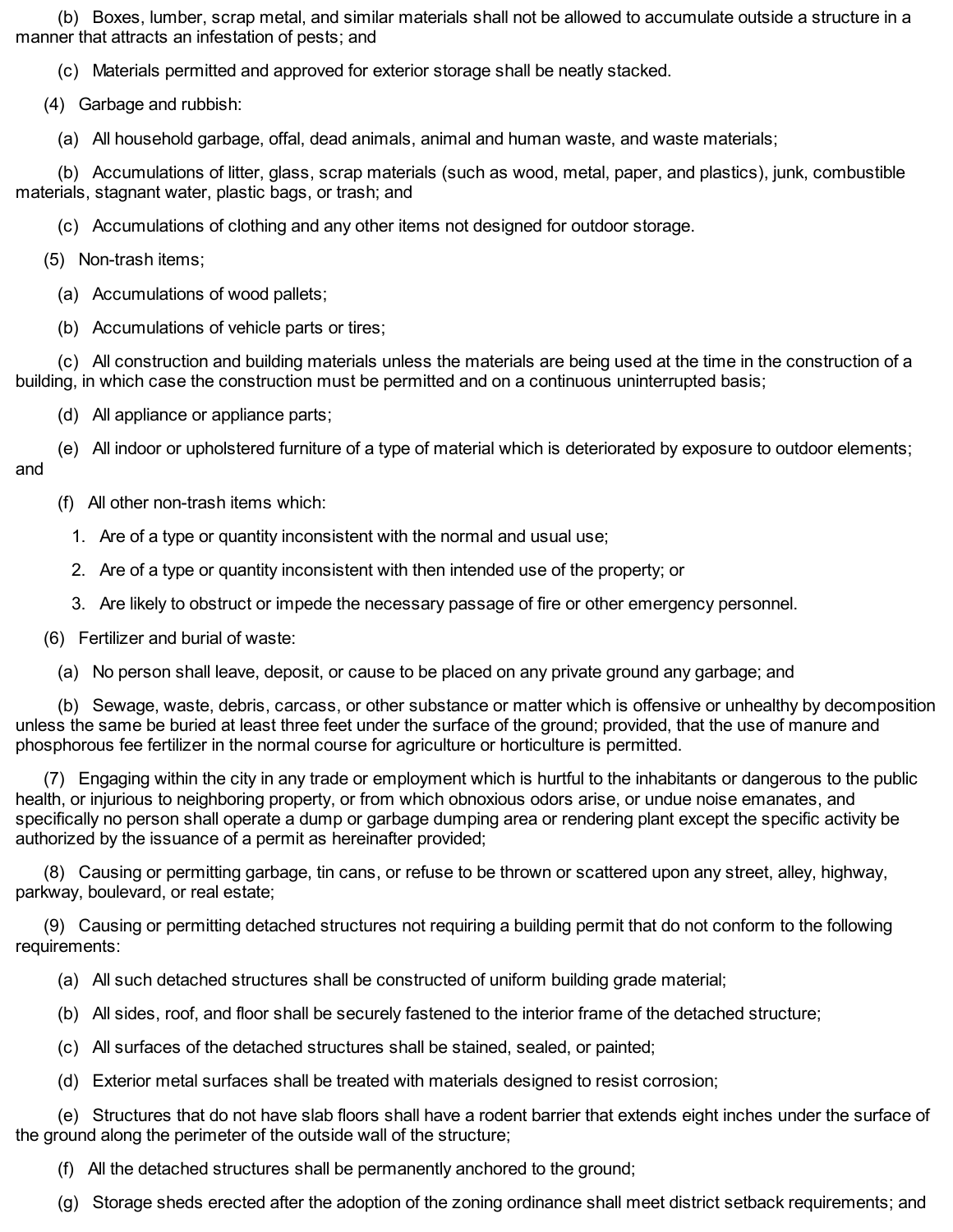(b) Boxes, lumber, scrap metal, and similar materials shall not be allowed to accumulate outside a structure in a manner that attracts an infestation of pests; and

(c) Materials permitted and approved for exterior storage shall be neatly stacked.

(4) Garbage and rubbish:

(a) All household garbage, offal, dead animals, animal and human waste, and waste materials;

(b) Accumulations of litter, glass, scrap materials (such as wood, metal, paper, and plastics), junk, combustible materials, stagnant water, plastic bags, or trash; and

(c) Accumulations of clothing and any other items not designed for outdoor storage.

(5) Non-trash items;

(a) Accumulations of wood pallets;

(b) Accumulations of vehicle parts or tires;

(c) All construction and building materials unless the materials are being used at the time in the construction of a building, in which case the construction must be permitted and on a continuous uninterrupted basis;

(d) All appliance or appliance parts;

(e) All indoor or upholstered furniture of a type of material which is deteriorated by exposure to outdoor elements; and

(f) All other non-trash items which:

- 1. Are of a type or quantity inconsistent with the normal and usual use;
- 2. Are of a type or quantity inconsistent with then intended use of the property; or
- 3. Are likely to obstruct or impede the necessary passage of fire or other emergency personnel.
- (6) Fertilizer and burial of waste:
	- (a) No person shall leave, deposit, or cause to be placed on any private ground any garbage; and

(b) Sewage, waste, debris, carcass, or other substance or matter which is offensive or unhealthy by decomposition unless the same be buried at least three feet under the surface of the ground; provided, that the use of manure and phosphorous fee fertilizer in the normal course for agriculture or horticulture is permitted.

(7) Engaging within the city in any trade or employment which is hurtful to the inhabitants or dangerous to the public health, or injurious to neighboring property, or from which obnoxious odors arise, or undue noise emanates, and specifically no person shall operate a dump or garbage dumping area or rendering plant except the specific activity be authorized by the issuance of a permit as hereinafter provided;

(8) Causing or permitting garbage, tin cans, or refuse to be thrown or scattered upon any street, alley, highway, parkway, boulevard, or real estate;

(9) Causing or permitting detached structures not requiring a building permit that do not conform to the following requirements:

- (a) All such detached structures shall be constructed of uniform building grade material;
- (b) All sides, roof, and floor shall be securely fastened to the interior frame of the detached structure;
- (c) All surfaces of the detached structures shall be stained, sealed, or painted;
- (d) Exterior metal surfaces shall be treated with materials designed to resist corrosion;

(e) Structures that do not have slab floors shall have a rodent barrier that extends eight inches under the surface of the ground along the perimeter of the outside wall of the structure;

(f) All the detached structures shall be permanently anchored to the ground;

(g) Storage sheds erected after the adoption of the zoning ordinance shall meet district setback requirements; and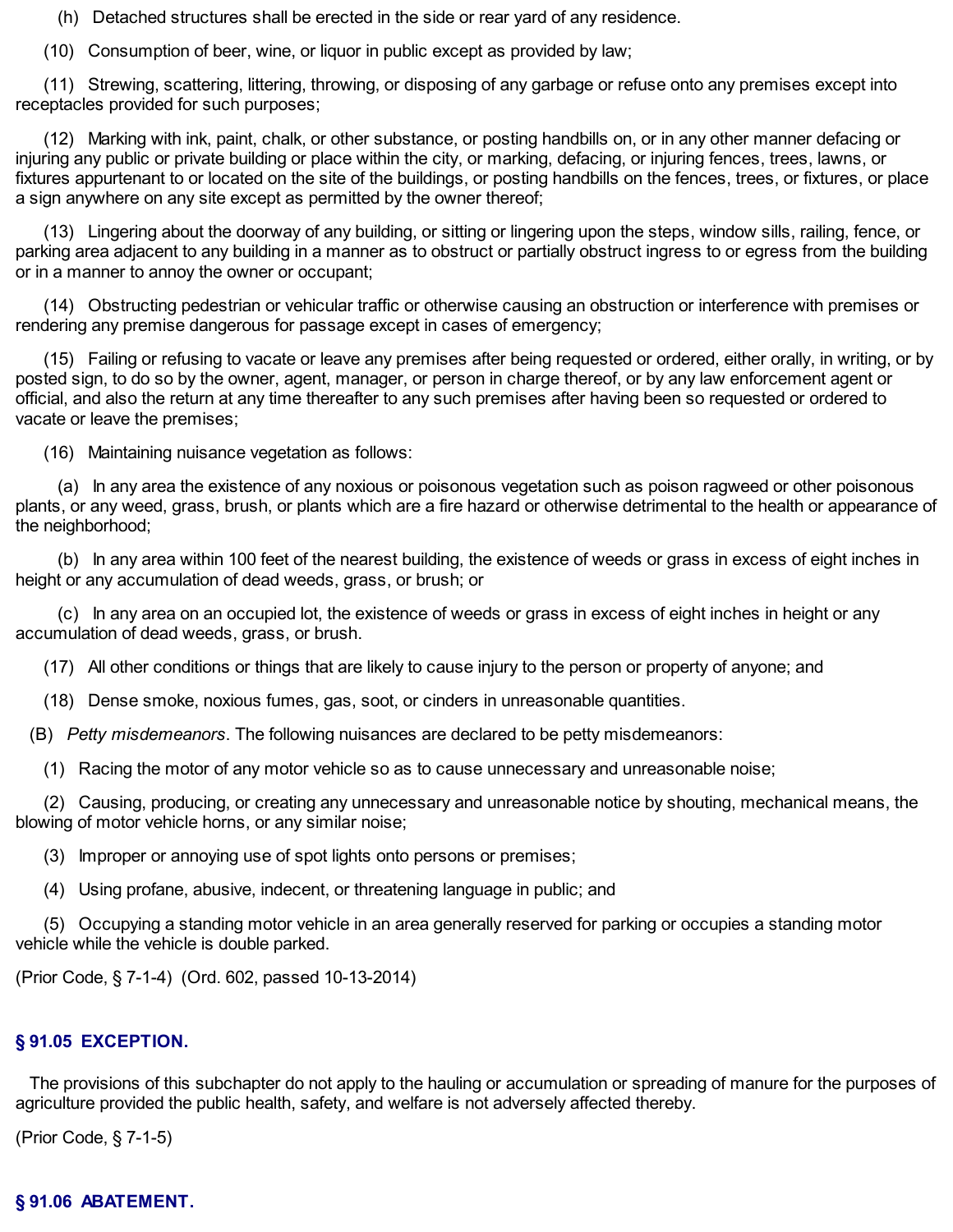(h) Detached structures shall be erected in the side or rear yard of any residence.

(10) Consumption of beer, wine, or liquor in public except as provided by law;

(11) Strewing, scattering, littering, throwing, or disposing of any garbage or refuse onto any premises except into receptacles provided for such purposes;

(12) Marking with ink, paint, chalk, or other substance, or posting handbills on, or in any other manner defacing or injuring any public or private building or place within the city, or marking, defacing, or injuring fences, trees, lawns, or fixtures appurtenant to or located on the site of the buildings, or posting handbills on the fences, trees, or fixtures, or place a sign anywhere on any site except as permitted by the owner thereof;

(13) Lingering about the doorway of any building, or sitting or lingering upon the steps, window sills, railing, fence, or parking area adjacent to any building in a manner as to obstruct or partially obstruct ingress to or egress from the building or in a manner to annoy the owner or occupant;

(14) Obstructing pedestrian or vehicular traffic or otherwise causing an obstruction or interference with premises or rendering any premise dangerous for passage except in cases of emergency;

(15) Failing or refusing to vacate or leave any premises after being requested or ordered, either orally, in writing, or by posted sign, to do so by the owner, agent, manager, or person in charge thereof, or by any law enforcement agent or official, and also the return at any time thereafter to any such premises after having been so requested or ordered to vacate or leave the premises;

(16) Maintaining nuisance vegetation as follows:

(a) In any area the existence of any noxious or poisonous vegetation such as poison ragweed or other poisonous plants, or any weed, grass, brush, or plants which are a fire hazard or otherwise detrimental to the health or appearance of the neighborhood;

(b) In any area within 100 feet of the nearest building, the existence of weeds or grass in excess of eight inches in height or any accumulation of dead weeds, grass, or brush; or

(c) In any area on an occupied lot, the existence of weeds or grass in excess of eight inches in height or any accumulation of dead weeds, grass, or brush.

(17) All other conditions or things that are likely to cause injury to the person or property of anyone; and

(18) Dense smoke, noxious fumes, gas, soot, or cinders in unreasonable quantities.

(B) *Petty misdemeanors*. The following nuisances are declared to be petty misdemeanors:

(1) Racing the motor of any motor vehicle so as to cause unnecessary and unreasonable noise;

(2) Causing, producing, or creating any unnecessary and unreasonable notice by shouting, mechanical means, the blowing of motor vehicle horns, or any similar noise;

(3) Improper or annoying use of spot lights onto persons or premises;

(4) Using profane, abusive, indecent, or threatening language in public; and

(5) Occupying a standing motor vehicle in an area generally reserved for parking or occupies a standing motor vehicle while the vehicle is double parked.

(Prior Code, § 7-1-4) (Ord. 602, passed 10-13-2014)

#### **§ 91.05 EXCEPTION.**

The provisions of this subchapter do not apply to the hauling or accumulation or spreading of manure for the purposes of agriculture provided the public health, safety, and welfare is not adversely affected thereby.

(Prior Code, § 7-1-5)

## **§ 91.06 ABATEMENT.**